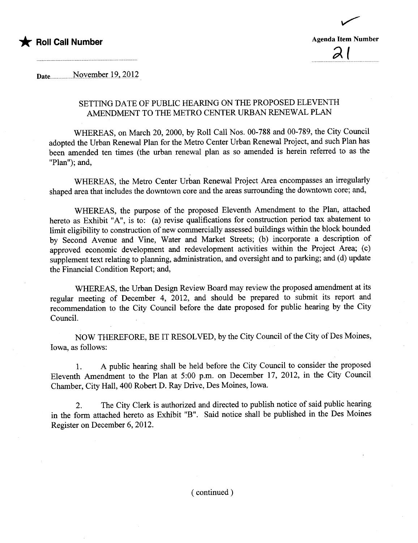



Date........... . ....NQyt.mb.t;rJ9.,.?Qli

## SETTING DATE OF PUBLIC HEARING ON THE PROPOSED ELEVENTH AMENDMENT TO THE METRO CENTER URBAN RENEWAL PLAN

WHEREAS, on March 20,2000, by Roll Call Nos. 00-788 and 00-789, the City Council adopted the Urban Renewal Plan for the Metro Center Urban Renewal Project, and such Plan has been amended ten times (the urban renewal plan as so amended is herein referred to as the "Plan"); and,

WHEREAS, the Metro Center Urban Renewal Project Area encompasses an irregularly shaped area that includes the downtown core and the areas surounding the downtown core; and,

WHEREAS, the purose of the proposed Eleventh Amendment to the Plan, attached hereto as Exhibit "A", is to: (a) revise qualifications for construction period tax abatement to limit eligibility to construction of new commercially assessed buildings within the block bounded by Second Avenue and Vine, Water and Market Streets; (b) incorporate a description of approved economic development and redevelopment activities within the Project Area; (c) supplement text relating to planning, administration, and oversight and to parking; and (d) update the Financial Condition Report; and,

WHEREAS, the Urban Design Review Board may review the proposed amendment at its regular meeting of December 4, 2012, and should be prepared to submit its report and recommendation to the City Council before the date proposed for public hearing by the City CounciL.

NOW THEREFORE, BE IT RESOLVED, by the City Council of the City of Des Moines, Iowa, as follows:

1. A public hearing shall be held before the City Council to consider the proposed Eleventh Amendment to the Plan at 5:00 p.m. on December 17, 2012, in the City Council Chamber, City Hall, 400 Robert D. Ray Drive, Des Moines, Iowa.

2. The City Clerk is authorized and directed to publish notice of said public hearing in the form attached hereto as Exhibit "B". Said notice shall be published in the Des Moines Register on December 6, 2012.